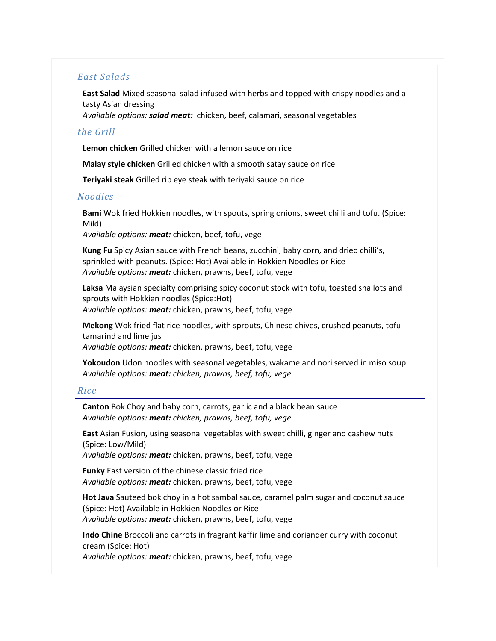## *East Salads*

**East Salad** Mixed seasonal salad infused with herbs and topped with crispy noodles and a tasty Asian dressing

*Available options: salad meat:* chicken, beef, calamari, seasonal vegetables

## *the Grill*

**Lemon chicken** Grilled chicken with a lemon sauce on rice

**Malay style chicken** Grilled chicken with a smooth satay sauce on rice

**Teriyaki steak** Grilled rib eye steak with teriyaki sauce on rice

## *Noodles*

**Bami** Wok fried Hokkien noodles, with spouts, spring onions, sweet chilli and tofu. (Spice: Mild)

*Available options: meat:* chicken, beef, tofu, vege

**Kung Fu** Spicy Asian sauce with French beans, zucchini, baby corn, and dried chilli's, sprinkled with peanuts. (Spice: Hot) Available in Hokkien Noodles or Rice *Available options: meat:* chicken, prawns, beef, tofu, vege

**Laksa** Malaysian specialty comprising spicy coconut stock with tofu, toasted shallots and sprouts with Hokkien noodles (Spice:Hot) *Available options: meat:* chicken, prawns, beef, tofu, vege

**Mekong** Wok fried flat rice noodles, with sprouts, Chinese chives, crushed peanuts, tofu tamarind and lime jus *Available options: meat:* chicken, prawns, beef, tofu, vege

**Yokoudon** Udon noodles with seasonal vegetables, wakame and nori served in miso soup *Available options: meat: chicken, prawns, beef, tofu, vege*

## *Rice*

**Canton** Bok Choy and baby corn, carrots, garlic and a black bean sauce *Available options: meat: chicken, prawns, beef, tofu, vege*

**East** Asian Fusion, using seasonal vegetables with sweet chilli, ginger and cashew nuts (Spice: Low/Mild)

*Available options: meat:* chicken, prawns, beef, tofu, vege

**Funky** East version of the chinese classic fried rice *Available options: meat:* chicken, prawns, beef, tofu, vege

**Hot Java** Sauteed bok choy in a hot sambal sauce, caramel palm sugar and coconut sauce (Spice: Hot) Available in Hokkien Noodles or Rice *Available options: meat:* chicken, prawns, beef, tofu, vege

**Indo Chine** Broccoli and carrots in fragrant kaffir lime and coriander curry with coconut cream (Spice: Hot)

*Available options: meat:* chicken, prawns, beef, tofu, vege